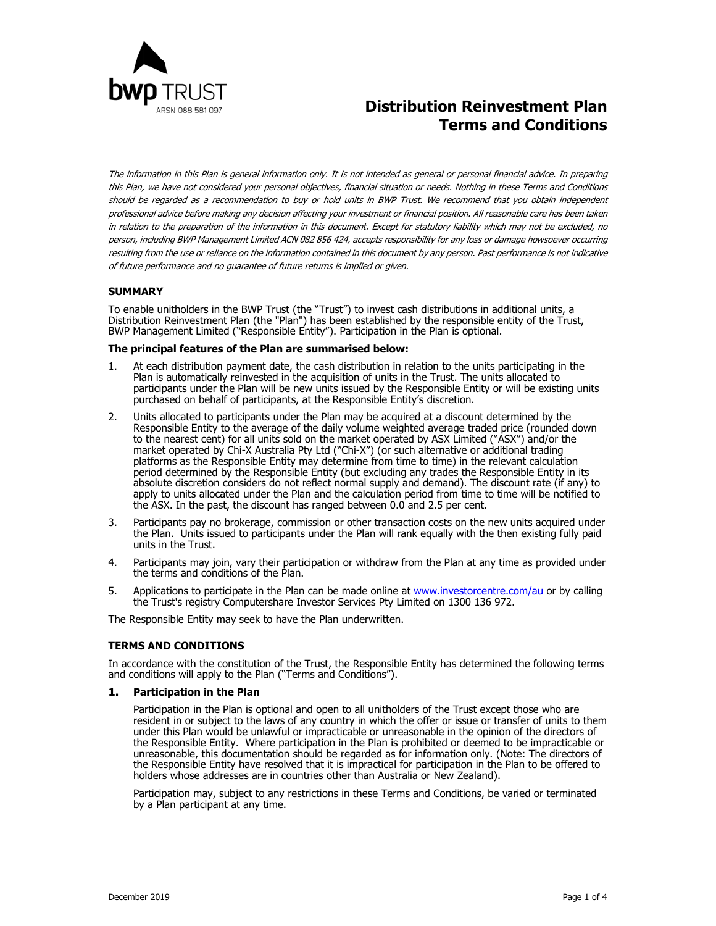

# **Distribution Reinvestment Plan Terms and Conditions**

The information in this Plan is general information only. It is not intended as general or personal financial advice. In preparing this Plan, we have not considered your personal objectives, financial situation or needs. Nothing in these Terms and Conditions should be regarded as a recommendation to buy or hold units in BWP Trust. We recommend that you obtain independent professional advice before making any decision affecting your investment or financial position. All reasonable care has been taken in relation to the preparation of the information in this document. Except for statutory liability which may not be excluded, no person, including BWP Management Limited ACN 082 856 424, accepts responsibility for any loss or damage howsoever occurring resulting from the use or reliance on the information contained in this document by any person. Past performance is not indicative of future performance and no guarantee of future returns is implied or given.

# **SUMMARY**

To enable unitholders in the BWP Trust (the "Trust") to invest cash distributions in additional units, a Distribution Reinvestment Plan (the "Plan") has been established by the responsible entity of the Trust, BWP Management Limited ("Responsible Entity"). Participation in the Plan is optional.

#### **The principal features of the Plan are summarised below:**

- 1. At each distribution payment date, the cash distribution in relation to the units participating in the Plan is automatically reinvested in the acquisition of units in the Trust. The units allocated to participants under the Plan will be new units issued by the Responsible Entity or will be existing units purchased on behalf of participants, at the Responsible Entity's discretion.
- 2. Units allocated to participants under the Plan may be acquired at a discount determined by the Responsible Entity to the average of the daily volume weighted average traded price (rounded down to the nearest cent) for all units sold on the market operated by ASX Limited ("ASX") and/or the market operated by Chi-X Australia Pty Ltd ("Chi-X") (or such alternative or additional trading platforms as the Responsible Entity may determine from time to time) in the relevant calculation period determined by the Responsible Entity (but excluding any trades the Responsible Entity in its absolute discretion considers do not reflect normal supply and demand). The discount rate (if any) to apply to units allocated under the Plan and the calculation period from time to time will be notified to the ASX. In the past, the discount has ranged between 0.0 and 2.5 per cent.
- 3. Participants pay no brokerage, commission or other transaction costs on the new units acquired under the Plan. Units issued to participants under the Plan will rank equally with the then existing fully paid units in the Trust.
- 4. Participants may join, vary their participation or withdraw from the Plan at any time as provided under the terms and conditions of the Plan.
- 5. Applications to participate in the Plan can be made online at www.investorcentre.com/au or by calling the Trust's registry Computershare Investor Services Pty Limited on 1300 136 972.

The Responsible Entity may seek to have the Plan underwritten.

# **TERMS AND CONDITIONS**

In accordance with the constitution of the Trust, the Responsible Entity has determined the following terms and conditions will apply to the Plan ("Terms and Conditions").

#### **1. Participation in the Plan**

Participation in the Plan is optional and open to all unitholders of the Trust except those who are resident in or subject to the laws of any country in which the offer or issue or transfer of units to them under this Plan would be unlawful or impracticable or unreasonable in the opinion of the directors of the Responsible Entity. Where participation in the Plan is prohibited or deemed to be impracticable or unreasonable, this documentation should be regarded as for information only. (Note: The directors of the Responsible Entity have resolved that it is impractical for participation in the Plan to be offered to holders whose addresses are in countries other than Australia or New Zealand).

Participation may, subject to any restrictions in these Terms and Conditions, be varied or terminated by a Plan participant at any time.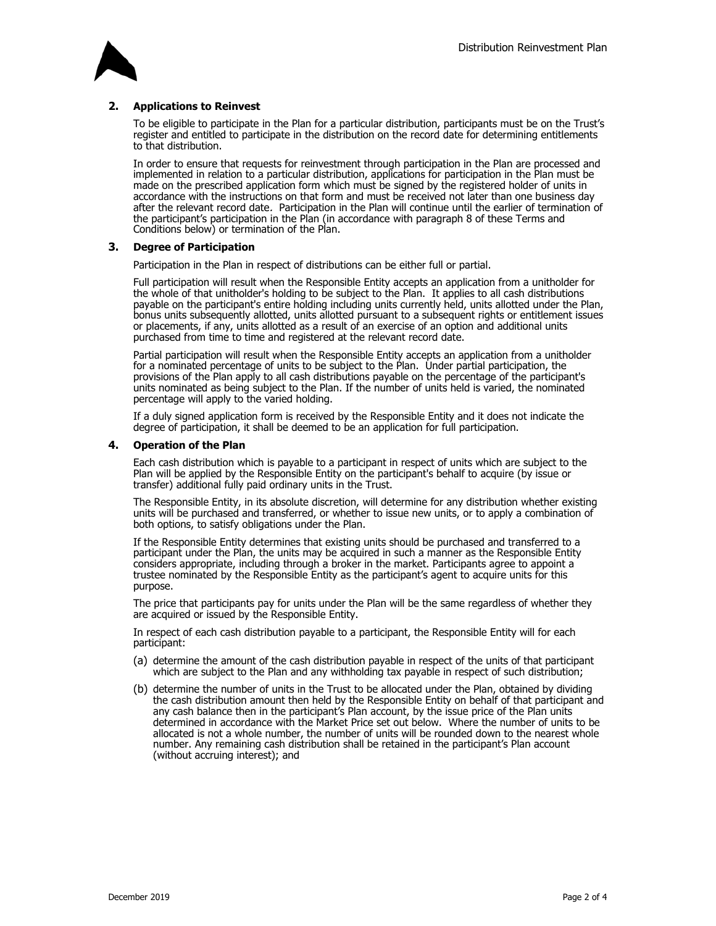

# **2. Applications to Reinvest**

To be eligible to participate in the Plan for a particular distribution, participants must be on the Trust's register and entitled to participate in the distribution on the record date for determining entitlements to that distribution.

In order to ensure that requests for reinvestment through participation in the Plan are processed and implemented in relation to a particular distribution, applications for participation in the Plan must be made on the prescribed application form which must be signed by the registered holder of units in accordance with the instructions on that form and must be received not later than one business day after the relevant record date. Participation in the Plan will continue until the earlier of termination of the participant's participation in the Plan (in accordance with paragraph 8 of these Terms and Conditions below) or termination of the Plan.

# **3. Degree of Participation**

Participation in the Plan in respect of distributions can be either full or partial.

Full participation will result when the Responsible Entity accepts an application from a unitholder for the whole of that unitholder's holding to be subject to the Plan. It applies to all cash distributions payable on the participant's entire holding including units currently held, units allotted under the Plan, bonus units subsequently allotted, units allotted pursuant to a subsequent rights or entitlement issues or placements, if any, units allotted as a result of an exercise of an option and additional units purchased from time to time and registered at the relevant record date.

Partial participation will result when the Responsible Entity accepts an application from a unitholder for a nominated percentage of units to be subject to the Plan. Under partial participation, the provisions of the Plan apply to all cash distributions payable on the percentage of the participant's units nominated as being subject to the Plan. If the number of units held is varied, the nominated percentage will apply to the varied holding.

If a duly signed application form is received by the Responsible Entity and it does not indicate the degree of participation, it shall be deemed to be an application for full participation.

#### **4. Operation of the Plan**

Each cash distribution which is payable to a participant in respect of units which are subject to the Plan will be applied by the Responsible Entity on the participant's behalf to acquire (by issue or transfer) additional fully paid ordinary units in the Trust.

The Responsible Entity, in its absolute discretion, will determine for any distribution whether existing units will be purchased and transferred, or whether to issue new units, or to apply a combination of both options, to satisfy obligations under the Plan.

If the Responsible Entity determines that existing units should be purchased and transferred to a participant under the Plan, the units may be acquired in such a manner as the Responsible Entity considers appropriate, including through a broker in the market. Participants agree to appoint a trustee nominated by the Responsible Entity as the participant's agent to acquire units for this purpose.

The price that participants pay for units under the Plan will be the same regardless of whether they are acquired or issued by the Responsible Entity.

In respect of each cash distribution payable to a participant, the Responsible Entity will for each participant:

- (a) determine the amount of the cash distribution payable in respect of the units of that participant which are subject to the Plan and any withholding tax payable in respect of such distribution;
- (b) determine the number of units in the Trust to be allocated under the Plan, obtained by dividing the cash distribution amount then held by the Responsible Entity on behalf of that participant and any cash balance then in the participant's Plan account, by the issue price of the Plan units determined in accordance with the Market Price set out below. Where the number of units to be allocated is not a whole number, the number of units will be rounded down to the nearest whole number. Any remaining cash distribution shall be retained in the participant's Plan account (without accruing interest); and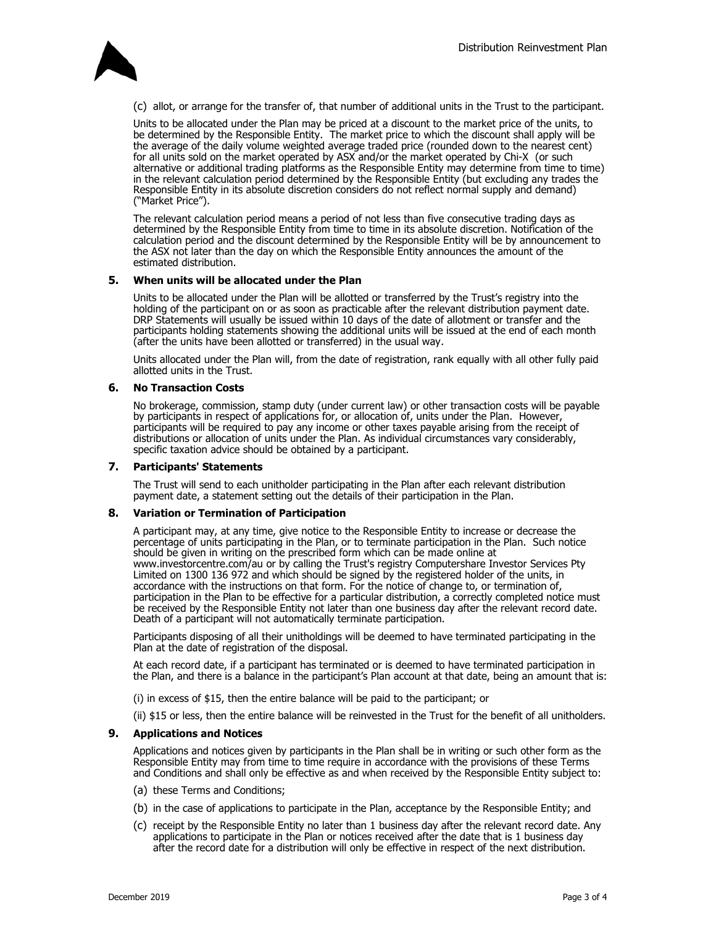

(c) allot, or arrange for the transfer of, that number of additional units in the Trust to the participant.

Units to be allocated under the Plan may be priced at a discount to the market price of the units, to be determined by the Responsible Entity. The market price to which the discount shall apply will be the average of the daily volume weighted average traded price (rounded down to the nearest cent) for all units sold on the market operated by ASX and/or the market operated by Chi-X (or such alternative or additional trading platforms as the Responsible Entity may determine from time to time) in the relevant calculation period determined by the Responsible Entity (but excluding any trades the Responsible Entity in its absolute discretion considers do not reflect normal supply and demand) ("Market Price").

The relevant calculation period means a period of not less than five consecutive trading days as determined by the Responsible Entity from time to time in its absolute discretion. Notification of the calculation period and the discount determined by the Responsible Entity will be by announcement to the ASX not later than the day on which the Responsible Entity announces the amount of the estimated distribution.

#### **5. When units will be allocated under the Plan**

Units to be allocated under the Plan will be allotted or transferred by the Trust's registry into the holding of the participant on or as soon as practicable after the relevant distribution payment date. DRP Statements will usually be issued within 10 days of the date of allotment or transfer and the participants holding statements showing the additional units will be issued at the end of each month (after the units have been allotted or transferred) in the usual way.

Units allocated under the Plan will, from the date of registration, rank equally with all other fully paid allotted units in the Trust.

#### **6. No Transaction Costs**

No brokerage, commission, stamp duty (under current law) or other transaction costs will be payable by participants in respect of applications for, or allocation of, units under the Plan. However, participants will be required to pay any income or other taxes payable arising from the receipt of distributions or allocation of units under the Plan. As individual circumstances vary considerably, specific taxation advice should be obtained by a participant.

#### **7. Participants' Statements**

The Trust will send to each unitholder participating in the Plan after each relevant distribution payment date, a statement setting out the details of their participation in the Plan.

#### **8. Variation or Termination of Participation**

A participant may, at any time, give notice to the Responsible Entity to increase or decrease the percentage of units participating in the Plan, or to terminate participation in the Plan. Such notice should be given in writing on the prescribed form which can be made online at www.investorcentre.com/au or by calling the Trust's registry Computershare Investor Services Pty Limited on 1300 136 972 and which should be signed by the registered holder of the units, in accordance with the instructions on that form. For the notice of change to, or termination of, participation in the Plan to be effective for a particular distribution, a correctly completed notice must be received by the Responsible Entity not later than one business day after the relevant record date. Death of a participant will not automatically terminate participation.

Participants disposing of all their unitholdings will be deemed to have terminated participating in the Plan at the date of registration of the disposal.

At each record date, if a participant has terminated or is deemed to have terminated participation in the Plan, and there is a balance in the participant's Plan account at that date, being an amount that is:

(i) in excess of \$15, then the entire balance will be paid to the participant; or

(ii) \$15 or less, then the entire balance will be reinvested in the Trust for the benefit of all unitholders.

#### **9. Applications and Notices**

Applications and notices given by participants in the Plan shall be in writing or such other form as the Responsible Entity may from time to time require in accordance with the provisions of these Terms and Conditions and shall only be effective as and when received by the Responsible Entity subject to:

- (a) these Terms and Conditions;
- (b) in the case of applications to participate in the Plan, acceptance by the Responsible Entity; and
- (c) receipt by the Responsible Entity no later than 1 business day after the relevant record date. Any applications to participate in the Plan or notices received after the date that is 1 business day after the record date for a distribution will only be effective in respect of the next distribution.